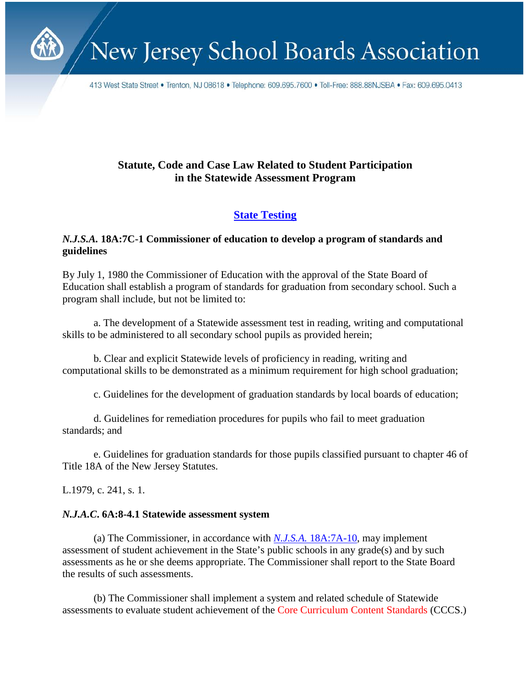

413 West State Street • Trenton, NJ 08618 • Telephone: 609.695.7600 • Toll-Free: 888.88NJSBA • Fax: 609.695.0413

## **Statute, Code and Case Law Related to Student Participation in the Statewide Assessment Program**

## **State Testing**

#### *N.J.S.A.* **18A:7C-1 Commissioner of education to develop a program of standards and guidelines**

By July 1, 1980 the Commissioner of Education with the approval of the State Board of Education shall establish a program of standards for graduation from secondary school. Such a program shall include, but not be limited to:

a. The development of a Statewide assessment test in reading, writing and computational skills to be administered to all secondary school pupils as provided herein;

b. Clear and explicit Statewide levels of proficiency in reading, writing and computational skills to be demonstrated as a minimum requirement for high school graduation;

c. Guidelines for the development of graduation standards by local boards of education;

d. Guidelines for remediation procedures for pupils who fail to meet graduation standards; and

e. Guidelines for graduation standards for those pupils classified pursuant to chapter 46 of Title 18A of the New Jersey Statutes.

L.1979, c. 241, s. 1.

#### *N.J.A.C***. 6A:8-4.1 Statewide assessment system**

(a) The Commissioner, in accordance with *N.J.S.A.* [18A:7A-10,](http://www.state.nj.us/education/genfo/qsac/statute.htm) may implement assessment of student achievement in the State's public schools in any grade(s) and by such assessments as he or she deems appropriate. The Commissioner shall report to the State Board the results of such assessments.

(b) The Commissioner shall implement a system and related schedule of Statewide assessments to evaluate student achievement of the Core Curriculum Content Standards (CCCS.)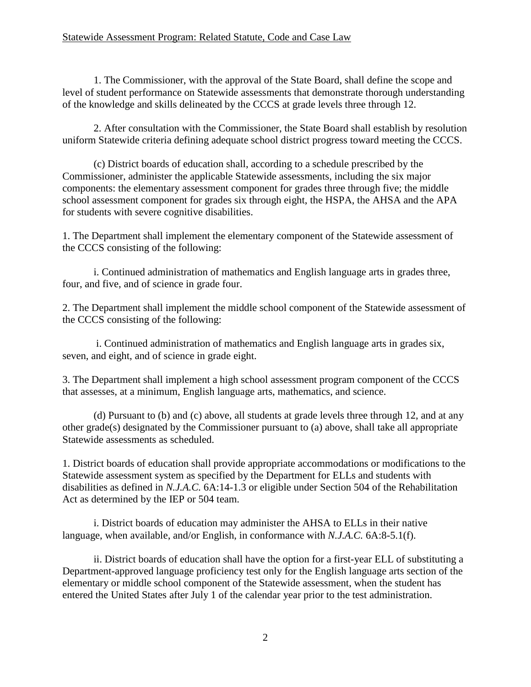1. The Commissioner, with the approval of the State Board, shall define the scope and level of student performance on Statewide assessments that demonstrate thorough understanding of the knowledge and skills delineated by the CCCS at grade levels three through 12.

2. After consultation with the Commissioner, the State Board shall establish by resolution uniform Statewide criteria defining adequate school district progress toward meeting the CCCS.

(c) District boards of education shall, according to a schedule prescribed by the Commissioner, administer the applicable Statewide assessments, including the six major components: the elementary assessment component for grades three through five; the middle school assessment component for grades six through eight, the HSPA, the AHSA and the APA for students with severe cognitive disabilities.

1. The Department shall implement the elementary component of the Statewide assessment of the CCCS consisting of the following:

i. Continued administration of mathematics and English language arts in grades three, four, and five, and of science in grade four.

2. The Department shall implement the middle school component of the Statewide assessment of the CCCS consisting of the following:

i. Continued administration of mathematics and English language arts in grades six, seven, and eight, and of science in grade eight.

3. The Department shall implement a high school assessment program component of the CCCS that assesses, at a minimum, English language arts, mathematics, and science.

(d) Pursuant to (b) and (c) above, all students at grade levels three through 12, and at any other grade(s) designated by the Commissioner pursuant to (a) above, shall take all appropriate Statewide assessments as scheduled.

1. District boards of education shall provide appropriate accommodations or modifications to the Statewide assessment system as specified by the Department for ELLs and students with disabilities as defined in *N.J.A.C.* 6A:14-1.3 or eligible under Section 504 of the Rehabilitation Act as determined by the IEP or 504 team.

i. District boards of education may administer the AHSA to ELLs in their native language, when available, and/or English, in conformance with *N.J.A.C.* 6A:8-5.1(f).

ii. District boards of education shall have the option for a first-year ELL of substituting a Department-approved language proficiency test only for the English language arts section of the elementary or middle school component of the Statewide assessment, when the student has entered the United States after July 1 of the calendar year prior to the test administration.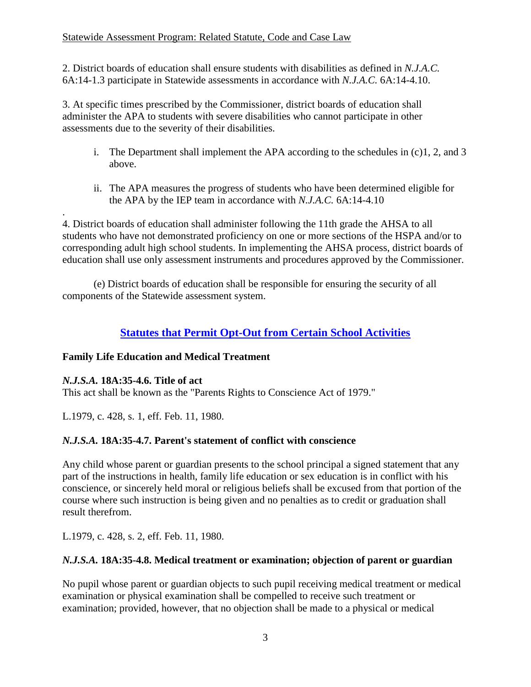2. District boards of education shall ensure students with disabilities as defined in *N.J.A.C.* 6A:14-1.3 participate in Statewide assessments in accordance with *N.J.A.C.* 6A:14-4.10.

3. At specific times prescribed by the Commissioner, district boards of education shall administer the APA to students with severe disabilities who cannot participate in other assessments due to the severity of their disabilities.

- i. The Department shall implement the APA according to the schedules in (c)1, 2, and 3 above.
- ii. The APA measures the progress of students who have been determined eligible for the APA by the IEP team in accordance with *N.J.A.C.* 6A:14-4.10

. 4. District boards of education shall administer following the 11th grade the AHSA to all students who have not demonstrated proficiency on one or more sections of the HSPA and/or to corresponding adult high school students. In implementing the AHSA process, district boards of education shall use only assessment instruments and procedures approved by the Commissioner.

(e) District boards of education shall be responsible for ensuring the security of all components of the Statewide assessment system.

# **Statutes that Permit Opt-Out from Certain School Activities**

## **Family Life Education and Medical Treatment**

## *N.J.S.A.* **18A:35-4.6. Title of act**

This act shall be known as the "Parents Rights to Conscience Act of 1979."

L.1979, c. 428, s. 1, eff. Feb. 11, 1980.

## *N.J.S.A.* **18A:35-4.7. Parent's statement of conflict with conscience**

Any child whose parent or guardian presents to the school principal a signed statement that any part of the instructions in health, family life education or sex education is in conflict with his conscience, or sincerely held moral or religious beliefs shall be excused from that portion of the course where such instruction is being given and no penalties as to credit or graduation shall result therefrom.

L.1979, c. 428, s. 2, eff. Feb. 11, 1980.

## *N.J.S.A.* **18A:35-4.8. Medical treatment or examination; objection of parent or guardian**

No pupil whose parent or guardian objects to such pupil receiving medical treatment or medical examination or physical examination shall be compelled to receive such treatment or examination; provided, however, that no objection shall be made to a physical or medical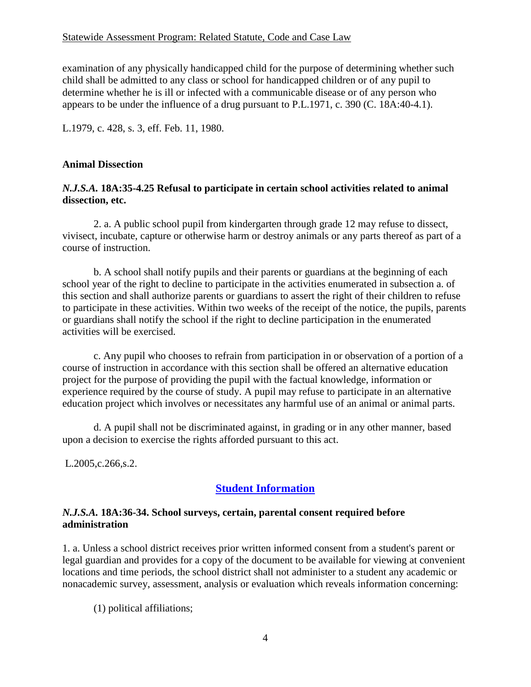examination of any physically handicapped child for the purpose of determining whether such child shall be admitted to any class or school for handicapped children or of any pupil to determine whether he is ill or infected with a communicable disease or of any person who appears to be under the influence of a drug pursuant to P.L.1971, c. 390 (C. 18A:40-4.1).

L.1979, c. 428, s. 3, eff. Feb. 11, 1980.

## **Animal Dissection**

#### *N.J.S.A.* **18A:35-4.25 Refusal to participate in certain school activities related to animal dissection, etc.**

2. a. A public school pupil from kindergarten through grade 12 may refuse to dissect, vivisect, incubate, capture or otherwise harm or destroy animals or any parts thereof as part of a course of instruction.

b. A school shall notify pupils and their parents or guardians at the beginning of each school year of the right to decline to participate in the activities enumerated in subsection a. of this section and shall authorize parents or guardians to assert the right of their children to refuse to participate in these activities. Within two weeks of the receipt of the notice, the pupils, parents or guardians shall notify the school if the right to decline participation in the enumerated activities will be exercised.

c. Any pupil who chooses to refrain from participation in or observation of a portion of a course of instruction in accordance with this section shall be offered an alternative education project for the purpose of providing the pupil with the factual knowledge, information or experience required by the course of study. A pupil may refuse to participate in an alternative education project which involves or necessitates any harmful use of an animal or animal parts.

d. A pupil shall not be discriminated against, in grading or in any other manner, based upon a decision to exercise the rights afforded pursuant to this act.

L.2005,c.266,s.2.

# **Student Information**

### *N.J.S.A.* **18A:36-34. School surveys, certain, parental consent required before administration**

1. a. Unless a school district receives prior written informed consent from a student's parent or legal guardian and provides for a copy of the document to be available for viewing at convenient locations and time periods, the school district shall not administer to a student any academic or nonacademic survey, assessment, analysis or evaluation which reveals information concerning:

(1) political affiliations;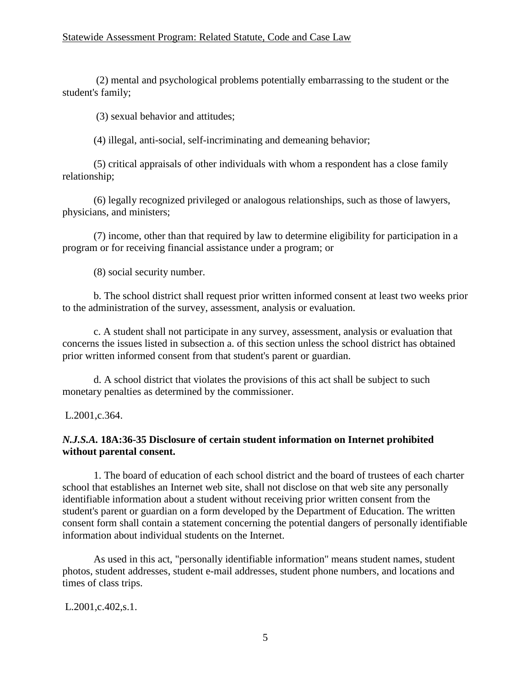(2) mental and psychological problems potentially embarrassing to the student or the student's family;

(3) sexual behavior and attitudes;

(4) illegal, anti-social, self-incriminating and demeaning behavior;

(5) critical appraisals of other individuals with whom a respondent has a close family relationship;

(6) legally recognized privileged or analogous relationships, such as those of lawyers, physicians, and ministers;

(7) income, other than that required by law to determine eligibility for participation in a program or for receiving financial assistance under a program; or

(8) social security number.

b. The school district shall request prior written informed consent at least two weeks prior to the administration of the survey, assessment, analysis or evaluation.

c. A student shall not participate in any survey, assessment, analysis or evaluation that concerns the issues listed in subsection a. of this section unless the school district has obtained prior written informed consent from that student's parent or guardian.

d. A school district that violates the provisions of this act shall be subject to such monetary penalties as determined by the commissioner.

L.2001,c.364.

#### *N.J.S.A.* **18A:36-35 Disclosure of certain student information on Internet prohibited without parental consent.**

1. The board of education of each school district and the board of trustees of each charter school that establishes an Internet web site, shall not disclose on that web site any personally identifiable information about a student without receiving prior written consent from the student's parent or guardian on a form developed by the Department of Education. The written consent form shall contain a statement concerning the potential dangers of personally identifiable information about individual students on the Internet.

As used in this act, "personally identifiable information" means student names, student photos, student addresses, student e-mail addresses, student phone numbers, and locations and times of class trips.

L.2001,c.402,s.1.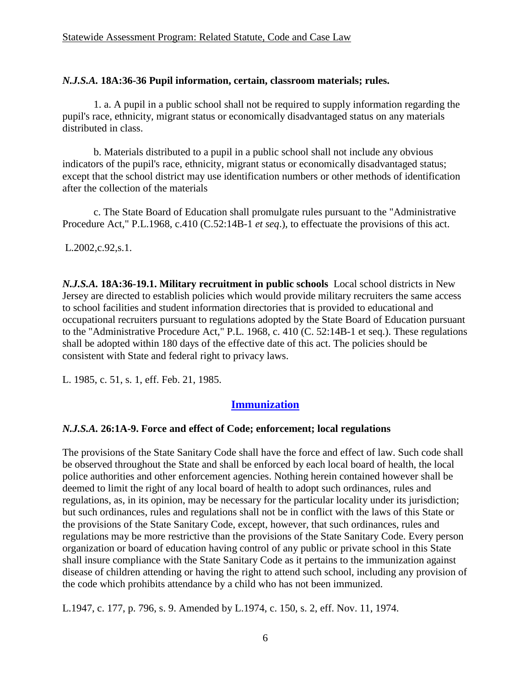#### *N.J.S.A.* **18A:36-36 Pupil information, certain, classroom materials; rules.**

1. a. A pupil in a public school shall not be required to supply information regarding the pupil's race, ethnicity, migrant status or economically disadvantaged status on any materials distributed in class.

b. Materials distributed to a pupil in a public school shall not include any obvious indicators of the pupil's race, ethnicity, migrant status or economically disadvantaged status; except that the school district may use identification numbers or other methods of identification after the collection of the materials

c. The State Board of Education shall promulgate rules pursuant to the "Administrative Procedure Act," P.L.1968, c.410 (C.52:14B-1 *et seq*.), to effectuate the provisions of this act.

L.2002,c.92,s.1.

*N.J.S.A.* **18A:36-19.1. Military recruitment in public schools** Local school districts in New Jersey are directed to establish policies which would provide military recruiters the same access to school facilities and student information directories that is provided to educational and occupational recruiters pursuant to regulations adopted by the State Board of Education pursuant to the "Administrative Procedure Act," P.L. 1968, c. 410 (C. 52:14B-1 et seq.). These regulations shall be adopted within 180 days of the effective date of this act. The policies should be consistent with State and federal right to privacy laws.

L. 1985, c. 51, s. 1, eff. Feb. 21, 1985.

## **Immunization**

### *N.J.S.A.* **26:1A-9. Force and effect of Code; enforcement; local regulations**

The provisions of the State Sanitary Code shall have the force and effect of law. Such code shall be observed throughout the State and shall be enforced by each local board of health, the local police authorities and other enforcement agencies. Nothing herein contained however shall be deemed to limit the right of any local board of health to adopt such ordinances, rules and regulations, as, in its opinion, may be necessary for the particular locality under its jurisdiction; but such ordinances, rules and regulations shall not be in conflict with the laws of this State or the provisions of the State Sanitary Code, except, however, that such ordinances, rules and regulations may be more restrictive than the provisions of the State Sanitary Code. Every person organization or board of education having control of any public or private school in this State shall insure compliance with the State Sanitary Code as it pertains to the immunization against disease of children attending or having the right to attend such school, including any provision of the code which prohibits attendance by a child who has not been immunized.

L.1947, c. 177, p. 796, s. 9. Amended by L.1974, c. 150, s. 2, eff. Nov. 11, 1974.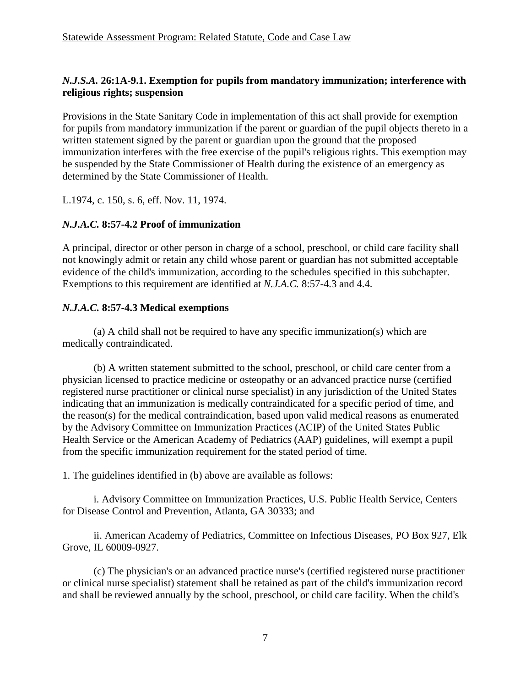## *N.J.S.A.* **26:1A-9.1. Exemption for pupils from mandatory immunization; interference with religious rights; suspension**

Provisions in the State Sanitary Code in implementation of this act shall provide for exemption for pupils from mandatory immunization if the parent or guardian of the pupil objects thereto in a written statement signed by the parent or guardian upon the ground that the proposed immunization interferes with the free exercise of the pupil's religious rights. This exemption may be suspended by the State Commissioner of Health during the existence of an emergency as determined by the State Commissioner of Health.

L.1974, c. 150, s. 6, eff. Nov. 11, 1974.

## *N.J.A.C.* **8:57-4.2 Proof of immunization**

A principal, director or other person in charge of a school, preschool, or child care facility shall not knowingly admit or retain any child whose parent or guardian has not submitted acceptable evidence of the child's immunization, according to the schedules specified in this subchapter. Exemptions to this requirement are identified at *N.J.A.C.* 8:57-4.3 and 4.4.

## *N.J.A.C.* **8:57-4.3 Medical exemptions**

(a) A child shall not be required to have any specific immunization(s) which are medically contraindicated.

(b) A written statement submitted to the school, preschool, or child care center from a physician licensed to practice medicine or osteopathy or an advanced practice nurse (certified registered nurse practitioner or clinical nurse specialist) in any jurisdiction of the United States indicating that an immunization is medically contraindicated for a specific period of time, and the reason(s) for the medical contraindication, based upon valid medical reasons as enumerated by the Advisory Committee on Immunization Practices (ACIP) of the United States Public Health Service or the American Academy of Pediatrics (AAP) guidelines, will exempt a pupil from the specific immunization requirement for the stated period of time.

1. The guidelines identified in (b) above are available as follows:

i. Advisory Committee on Immunization Practices, U.S. Public Health Service, Centers for Disease Control and Prevention, Atlanta, GA 30333; and

ii. American Academy of Pediatrics, Committee on Infectious Diseases, PO Box 927, Elk Grove, IL 60009-0927.

(c) The physician's or an advanced practice nurse's (certified registered nurse practitioner or clinical nurse specialist) statement shall be retained as part of the child's immunization record and shall be reviewed annually by the school, preschool, or child care facility. When the child's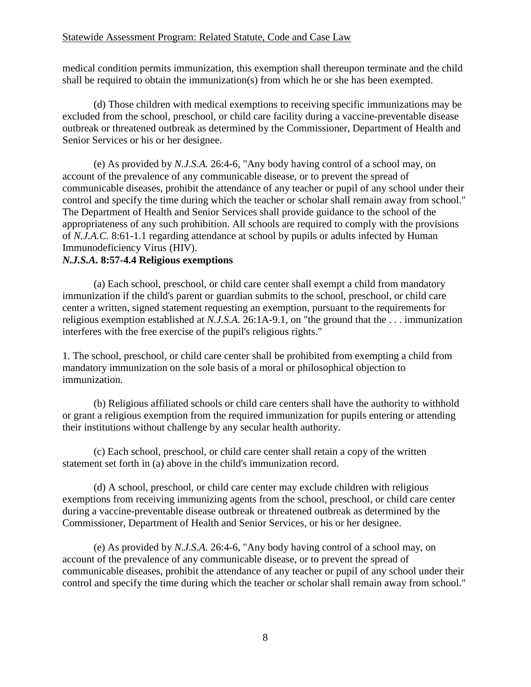medical condition permits immunization, this exemption shall thereupon terminate and the child shall be required to obtain the immunization(s) from which he or she has been exempted.

(d) Those children with medical exemptions to receiving specific immunizations may be excluded from the school, preschool, or child care facility during a vaccine-preventable disease outbreak or threatened outbreak as determined by the Commissioner, Department of Health and Senior Services or his or her designee.

(e) As provided by *N.J.S.A.* 26:4-6, "Any body having control of a school may, on account of the prevalence of any communicable disease, or to prevent the spread of communicable diseases, prohibit the attendance of any teacher or pupil of any school under their control and specify the time during which the teacher or scholar shall remain away from school." The Department of Health and Senior Services shall provide guidance to the school of the appropriateness of any such prohibition. All schools are required to comply with the provisions of *N.J.A.C.* 8:61-1.1 regarding attendance at school by pupils or adults infected by Human Immunodeficiency Virus (HIV).

#### *N.J.S.A.* **8:57-4.4 Religious exemptions**

(a) Each school, preschool, or child care center shall exempt a child from mandatory immunization if the child's parent or guardian submits to the school, preschool, or child care center a written, signed statement requesting an exemption, pursuant to the requirements for religious exemption established at *N.J.S.A.* 26:1A-9.1, on "the ground that the . . . immunization interferes with the free exercise of the pupil's religious rights."

1. The school, preschool, or child care center shall be prohibited from exempting a child from mandatory immunization on the sole basis of a moral or philosophical objection to immunization.

(b) Religious affiliated schools or child care centers shall have the authority to withhold or grant a religious exemption from the required immunization for pupils entering or attending their institutions without challenge by any secular health authority.

(c) Each school, preschool, or child care center shall retain a copy of the written statement set forth in (a) above in the child's immunization record.

(d) A school, preschool, or child care center may exclude children with religious exemptions from receiving immunizing agents from the school, preschool, or child care center during a vaccine-preventable disease outbreak or threatened outbreak as determined by the Commissioner, Department of Health and Senior Services, or his or her designee.

(e) As provided by *N.J.S.A.* 26:4-6, "Any body having control of a school may, on account of the prevalence of any communicable disease, or to prevent the spread of communicable diseases, prohibit the attendance of any teacher or pupil of any school under their control and specify the time during which the teacher or scholar shall remain away from school."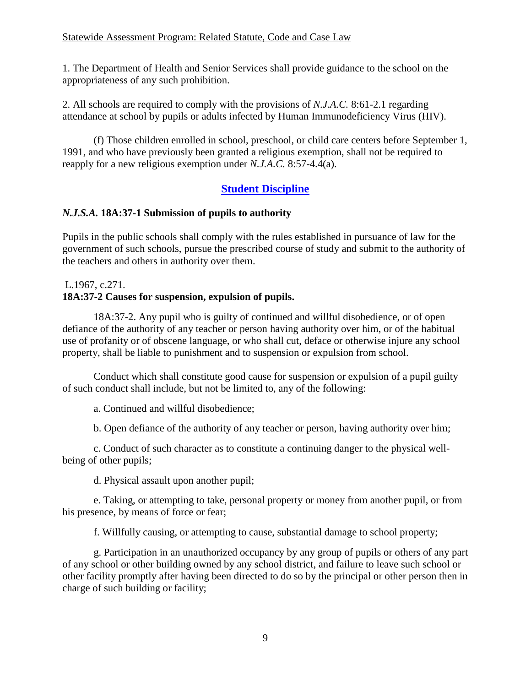1. The Department of Health and Senior Services shall provide guidance to the school on the appropriateness of any such prohibition.

2. All schools are required to comply with the provisions of *N.J.A.C.* 8:61-2.1 regarding attendance at school by pupils or adults infected by Human Immunodeficiency Virus (HIV).

(f) Those children enrolled in school, preschool, or child care centers before September 1, 1991, and who have previously been granted a religious exemption, shall not be required to reapply for a new religious exemption under *N.J.A.C.* 8:57-4.4(a).

## **Student Discipline**

### *N.J.S.A.* **18A:37-1 Submission of pupils to authority**

Pupils in the public schools shall comply with the rules established in pursuance of law for the government of such schools, pursue the prescribed course of study and submit to the authority of the teachers and others in authority over them.

### L.1967, c.271.

### **18A:37-2 Causes for suspension, expulsion of pupils.**

18A:37-2. Any pupil who is guilty of continued and willful disobedience, or of open defiance of the authority of any teacher or person having authority over him, or of the habitual use of profanity or of obscene language, or who shall cut, deface or otherwise injure any school property, shall be liable to punishment and to suspension or expulsion from school.

Conduct which shall constitute good cause for suspension or expulsion of a pupil guilty of such conduct shall include, but not be limited to, any of the following:

a. Continued and willful disobedience;

b. Open defiance of the authority of any teacher or person, having authority over him;

c. Conduct of such character as to constitute a continuing danger to the physical wellbeing of other pupils;

d. Physical assault upon another pupil;

e. Taking, or attempting to take, personal property or money from another pupil, or from his presence, by means of force or fear;

f. Willfully causing, or attempting to cause, substantial damage to school property;

g. Participation in an unauthorized occupancy by any group of pupils or others of any part of any school or other building owned by any school district, and failure to leave such school or other facility promptly after having been directed to do so by the principal or other person then in charge of such building or facility;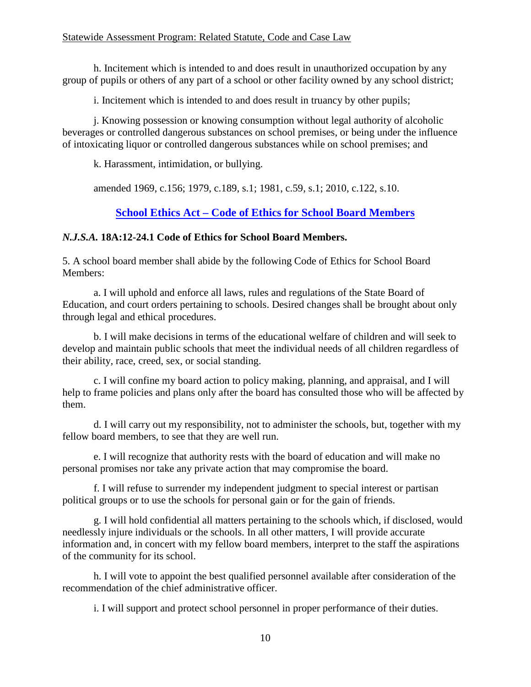h. Incitement which is intended to and does result in unauthorized occupation by any group of pupils or others of any part of a school or other facility owned by any school district;

i. Incitement which is intended to and does result in truancy by other pupils;

j. Knowing possession or knowing consumption without legal authority of alcoholic beverages or controlled dangerous substances on school premises, or being under the influence of intoxicating liquor or controlled dangerous substances while on school premises; and

k. Harassment, intimidation, or bullying.

amended 1969, c.156; 1979, c.189, s.1; 1981, c.59, s.1; 2010, c.122, s.10.

# **School Ethics Act – Code of Ethics for School Board Members**

## *N.J.S.A.* **18A:12-24.1 Code of Ethics for School Board Members.**

5. A school board member shall abide by the following Code of Ethics for School Board Members:

a. I will uphold and enforce all laws, rules and regulations of the State Board of Education, and court orders pertaining to schools. Desired changes shall be brought about only through legal and ethical procedures.

b. I will make decisions in terms of the educational welfare of children and will seek to develop and maintain public schools that meet the individual needs of all children regardless of their ability, race, creed, sex, or social standing.

c. I will confine my board action to policy making, planning, and appraisal, and I will help to frame policies and plans only after the board has consulted those who will be affected by them.

d. I will carry out my responsibility, not to administer the schools, but, together with my fellow board members, to see that they are well run.

e. I will recognize that authority rests with the board of education and will make no personal promises nor take any private action that may compromise the board.

f. I will refuse to surrender my independent judgment to special interest or partisan political groups or to use the schools for personal gain or for the gain of friends.

g. I will hold confidential all matters pertaining to the schools which, if disclosed, would needlessly injure individuals or the schools. In all other matters, I will provide accurate information and, in concert with my fellow board members, interpret to the staff the aspirations of the community for its school.

h. I will vote to appoint the best qualified personnel available after consideration of the recommendation of the chief administrative officer.

i. I will support and protect school personnel in proper performance of their duties.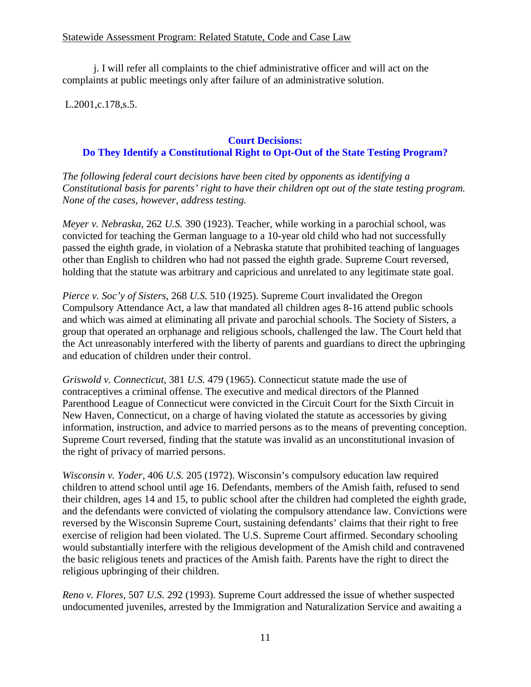j. I will refer all complaints to the chief administrative officer and will act on the complaints at public meetings only after failure of an administrative solution.

L.2001,c.178,s.5.

#### **Court Decisions: Do They Identify a Constitutional Right to Opt-Out of the State Testing Program?**

*The following federal court decisions have been cited by opponents as identifying a Constitutional basis for parents' right to have their children opt out of the state testing program. None of the cases, however, address testing.*

*Meyer v. Nebraska,* 262 *U.S.* 390 (1923). Teacher, while working in a parochial school, was convicted for teaching the German language to a 10-year old child who had not successfully passed the eighth grade, in violation of a Nebraska statute that prohibited teaching of languages other than English to children who had not passed the eighth grade. Supreme Court reversed, holding that the statute was arbitrary and capricious and unrelated to any legitimate state goal.

*Pierce v. Soc'y of Sisters*, 268 *U.S.* 510 (1925). Supreme Court invalidated the Oregon Compulsory Attendance Act, a law that mandated all children ages 8-16 attend public schools and which was aimed at eliminating all private and parochial schools. The Society of Sisters, a group that operated an orphanage and religious schools, challenged the law. The Court held that the Act unreasonably interfered with the liberty of parents and guardians to direct the upbringing and education of children under their control.

*Griswold v. Connecticut*, 381 *U.S.* 479 (1965). Connecticut statute made the use of contraceptives a criminal offense. The executive and medical directors of the Planned Parenthood League of Connecticut were convicted in the Circuit Court for the Sixth Circuit in New Haven, Connecticut, on a charge of having violated the statute as accessories by giving information, instruction, and advice to married persons as to the means of preventing conception. Supreme Court reversed, finding that the statute was invalid as an unconstitutional invasion of the right of privacy of married persons.

*Wisconsin v. Yoder,* 406 *U.S.* 205 (1972). Wisconsin's compulsory education law required children to attend school until age 16. Defendants, members of the Amish faith, refused to send their children, ages 14 and 15, to public school after the children had completed the eighth grade, and the defendants were convicted of violating the compulsory attendance law. Convictions were reversed by the Wisconsin Supreme Court, sustaining defendants' claims that their right to free exercise of religion had been violated. The U.S. Supreme Court affirmed. Secondary schooling would substantially interfere with the religious development of the Amish child and contravened the basic religious tenets and practices of the Amish faith. Parents have the right to direct the religious upbringing of their children.

*Reno v. Flores*, 507 *U.S.* 292 (1993). Supreme Court addressed the issue of whether suspected undocumented juveniles, arrested by the Immigration and Naturalization Service and awaiting a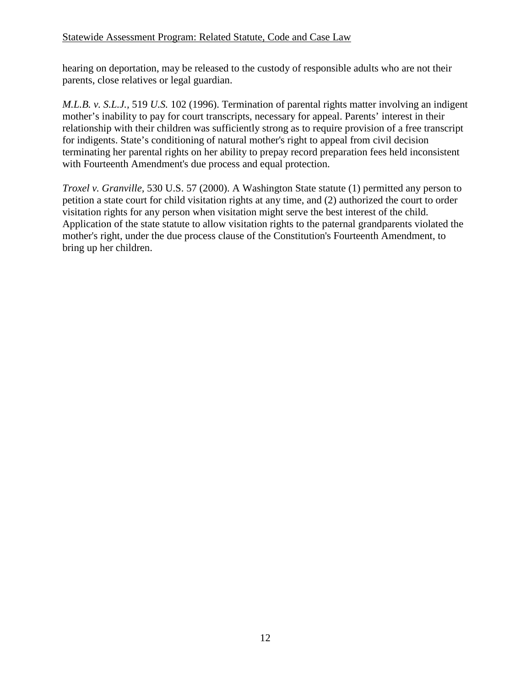hearing on deportation, may be released to the custody of responsible adults who are not their parents, close relatives or legal guardian.

*M.L.B. v. S.L.J.,* 519 *U.S.* 102 (1996). Termination of parental rights matter involving an indigent mother's inability to pay for court transcripts, necessary for appeal. Parents' interest in their relationship with their children was sufficiently strong as to require provision of a free transcript for indigents. State's conditioning of natural mother's right to appeal from civil decision terminating her parental rights on her ability to prepay record preparation fees held inconsistent with [Fourteenth Amendment's](https://www.lexis.com/research/buttonTFLink?_m=b90309c49ce1a3fa5b760fda8de0e3e1&_xfercite=%3ccite%20cc%3d%22USA%22%3e%3c%21%5bCDATA%5b519%20U.S.%20102%5d%5d%3e%3c%2fcite%3e&_butType=4&_butStat=0&_butNum=27&_butInline=1&_butinfo=U.S.%20CONST.%20AMEND.%2014&_fmtstr=FULL&docnum=1&_startdoc=1&wchp=dGLzVzB-zSkAW&_md5=3efbf1372e128b44a3024ae83c4725d1) due process and equal protection.

*Troxel v. Granville,* 530 U.S. 57 (2000). A Washington State statute (1) permitted any person to petition a state court for child visitation rights at any time, and (2) authorized the court to order visitation rights for any person when visitation might serve the best interest of the child. Application of the state statute to allow visitation rights to the paternal grandparents violated the mother's right, under the due process clause of the Constitution's Fourteenth Amendment, to bring up her children.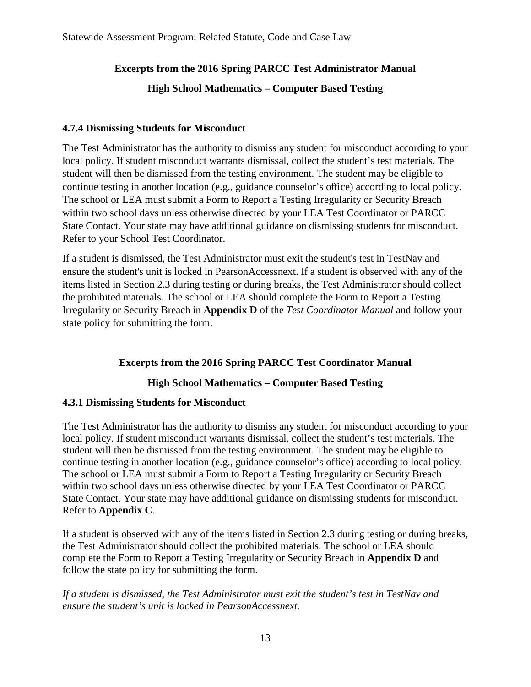# **Excerpts from the 2016 Spring PARCC Test Administrator Manual**

## **High School Mathematics – Computer Based Testing**

## **4.7.4 Dismissing Students for Misconduct**

The Test Administrator has the authority to dismiss any student for misconduct according to your local policy. If student misconduct warrants dismissal, collect the student's test materials. The student will then be dismissed from the testing environment. The student may be eligible to continue testing in another location (e.g., guidance counselor's office) according to local policy. The school or LEA must submit a Form to Report a Testing Irregularity or Security Breach within two school days unless otherwise directed by your LEA Test Coordinator or PARCC State Contact. Your state may have additional guidance on dismissing students for misconduct. Refer to your School Test Coordinator.

If a student is dismissed, the Test Administrator must exit the student's test in TestNav and ensure the student's unit is locked in PearsonAccessnext. If a student is observed with any of the items listed in Section 2.3 during testing or during breaks, the Test Administrator should collect the prohibited materials. The school or LEA should complete the Form to Report a Testing Irregularity or Security Breach in **Appendix D** of the *Test Coordinator Manual* and follow your state policy for submitting the form.

## **Excerpts from the 2016 Spring PARCC Test Coordinator Manual**

## **High School Mathematics – Computer Based Testing**

### **4.3.1 Dismissing Students for Misconduct**

The Test Administrator has the authority to dismiss any student for misconduct according to your local policy. If student misconduct warrants dismissal, collect the student's test materials. The student will then be dismissed from the testing environment. The student may be eligible to continue testing in another location (e.g., guidance counselor's office) according to local policy. The school or LEA must submit a Form to Report a Testing Irregularity or Security Breach within two school days unless otherwise directed by your LEA Test Coordinator or PARCC State Contact. Your state may have additional guidance on dismissing students for misconduct. Refer to **Appendix C**.

If a student is observed with any of the items listed in Section 2.3 during testing or during breaks, the Test Administrator should collect the prohibited materials. The school or LEA should complete the Form to Report a Testing Irregularity or Security Breach in **Appendix D** and follow the state policy for submitting the form.

*If a student is dismissed, the Test Administrator must exit the student's test in TestNav and ensure the student's unit is locked in PearsonAccessnext.*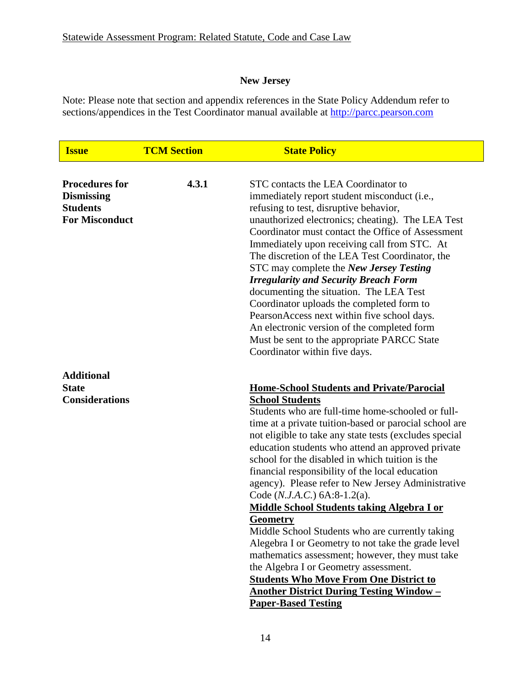## **New Jersey**

Note: Please note that section and appendix references in the State Policy Addendum refer to sections/appendices in the Test Coordinator manual available at [http://parcc.pearson.com](http://parcc.pearson.com/)

| <b>Issue</b>                                                                           | <b>TCM Section</b> | <b>State Policy</b>                                                                                                                                                                                                                                                                                                                                                                                                                                                                                                                                                                                                                                                                                                                                                                                                                                                                                                 |
|----------------------------------------------------------------------------------------|--------------------|---------------------------------------------------------------------------------------------------------------------------------------------------------------------------------------------------------------------------------------------------------------------------------------------------------------------------------------------------------------------------------------------------------------------------------------------------------------------------------------------------------------------------------------------------------------------------------------------------------------------------------------------------------------------------------------------------------------------------------------------------------------------------------------------------------------------------------------------------------------------------------------------------------------------|
| <b>Procedures for</b><br><b>Dismissing</b><br><b>Students</b><br><b>For Misconduct</b> | 4.3.1              | STC contacts the LEA Coordinator to<br>immediately report student misconduct (i.e.,<br>refusing to test, disruptive behavior,<br>unauthorized electronics; cheating). The LEA Test<br>Coordinator must contact the Office of Assessment<br>Immediately upon receiving call from STC. At<br>The discretion of the LEA Test Coordinator, the<br>STC may complete the <i>New Jersey Testing</i><br><b>Irregularity and Security Breach Form</b><br>documenting the situation. The LEA Test<br>Coordinator uploads the completed form to<br>Pearson Access next within five school days.<br>An electronic version of the completed form<br>Must be sent to the appropriate PARCC State<br>Coordinator within five days.                                                                                                                                                                                                 |
| <b>Additional</b><br><b>State</b><br><b>Considerations</b>                             |                    | <b>Home-School Students and Private/Parocial</b><br><b>School Students</b><br>Students who are full-time home-schooled or full-<br>time at a private tuition-based or parocial school are<br>not eligible to take any state tests (excludes special<br>education students who attend an approved private<br>school for the disabled in which tuition is the<br>financial responsibility of the local education<br>agency). Please refer to New Jersey Administrative<br>Code (N.J.A.C.) 6A:8-1.2(a).<br><b>Middle School Students taking Algebra I or</b><br><b>Geometry</b><br>Middle School Students who are currently taking<br>Alegebra I or Geometry to not take the grade level<br>mathematics assessment; however, they must take<br>the Algebra I or Geometry assessment.<br><b>Students Who Move From One District to</b><br><b>Another District During Testing Window -</b><br><b>Paper-Based Testing</b> |